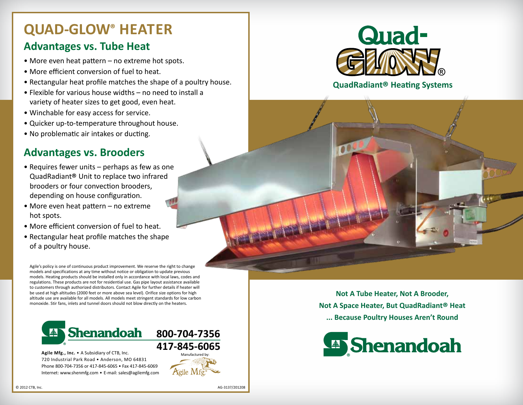## **QUAD-GLOW® Heater**

### **Advantages vs. Tube Heat**

- More even heat pattern no extreme hot spots.
- More efficient conversion of fuel to heat.
- Rectangular heat profile matches the shape of a poultry house.
- Flexible for various house widths no need to install a variety of heater sizes to get good, even heat.
- Winchable for easy access for service.
- Quicker up-to-temperature throughout house.
- No problematic air intakes or ducting.

### **Advantages vs. Brooders**

- Requires fewer units perhaps as few as one QuadRadiant® Unit to replace two infrared brooders or four convection brooders, depending on house configuration.
- More even heat pattern no extreme hot spots.
- More efficient conversion of fuel to heat.
- Rectangular heat profile matches the shape of a poultry house.

Agile's policy is one of continuous product improvement. We reserve the right to change models and specifications at any time without notice or obligation to update previous models. Heating products should be installed only in accordance with local laws, codes and regulations. These products are not for residential use. Gas pipe layout assistance available to customers through authorized distributors. Contact Agile for further details if heater will be used at high altitudes (2000 feet or more above sea level). Orifice size options for high altitude use are available for all models. All models meet stringent standards for low carbon monoxide. Stir fans, inlets and tunnel doors should not blow directly on the heaters.



**Agile Mfg., Inc.** • A Subsidiary of CTB, Inc. 720 Industrial Park Road • Anderson, MO 64831 Phone 800-704-7356 or 417-845-6065 • Fax 417-845-6069 Internet: www.shenmfg.com • E-mail: sales@agilemfg.com



### **QuadRadiant® Heating Systems**

**Not A Tube Heater, Not A Brooder, Not A Space Heater, But QuadRadiant® Heat ... Because Poultry Houses Aren't Round**



Manufactured by: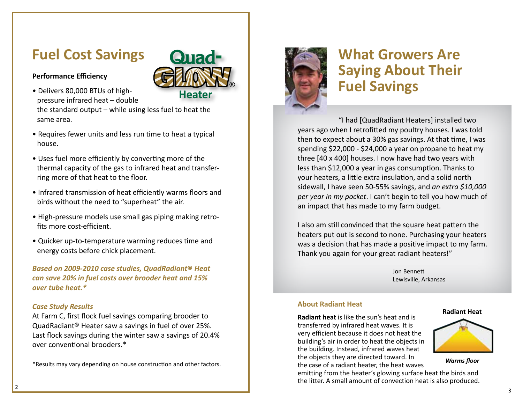# **Fuel Cost Savings**

### **Performance Efficiency**



Quad-

- Requires fewer units and less run time to heat a typical house.
- Uses fuel more efficiently by converting more of the thermal capacity of the gas to infrared heat and transfer ring more of that heat to the floor.
- Infrared transmission of heat efficiently warms floors and birds without the need to "superheat" the air.
- High-pressure models use small gas piping making retro fits more cost-efficient.
- Quicker up-to-temperature warming reduces time and energy costs before chick placement.

*Based on 2009-2010 case studies, QuadRadiant* **®** *Heat can save 20% in fuel costs over brooder heat and 15% over tube heat.\**

#### *Case Study Results*

At Farm C, first flock fuel savings comparing brooder to QuadRadiant ® Heater saw a savings in fuel of over 25%. Last flock savings during the winter saw a savings of 20.4% over conventional brooders.\*

\*Results may vary depending on house construction and other factors.



# **What Growers Are Saying About Their Fuel Savings**

"I had [QuadRadiant Heaters] installed two years ago when I retrofitted my poultry houses. I was told then to expect about a 30% gas savings. At that time, I was spending \$22,000 - \$24,000 a year on propane to heat my three [40 x 400] houses. I now have had two years with less than \$12,000 a year in gas consumption. Thanks to your heaters, a little extra insulation, and a solid north sidewall, I have seen 50-55% savings, and *an extra \$10,000 per year in my pocket*. I can't begin to tell you how much of an impact that has made to my farm budget.

I also am still convinced that the square heat pattern the heaters put out is second to none. Purchasing your heaters was a decision that has made a positive impact to my farm. Thank you again for your great radiant heaters!"

> Jon Bennett Lewisville, Arkansas

#### **About Radiant Heat**

**Radiant heat** is like the sun's heat and is transferred by infrared heat waves. It is very efficient because it does not heat the building's air in order to heat the objects in the building. Instead, infrared waves heat the objects they are directed toward. In the case of a radiant heater, the heat waves

emitting from the heater's glowing surface heat the birds and the litter. A small amount of convection heat is also produced.





*Warms floor*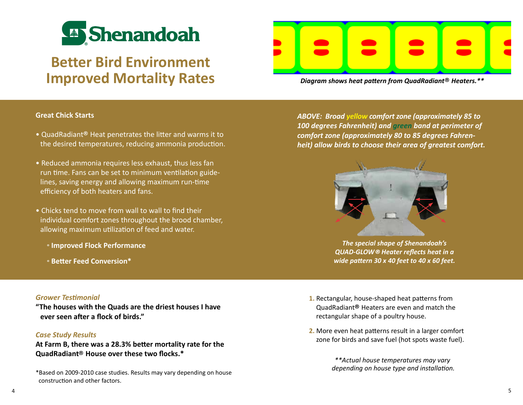

# **Better Bird Environment Improved Mortality Rates**

*Diagram shows heat pattern from QuadRadiant*® *Heaters.\*\**

#### **Great Chick Starts**

- QuadRadiant® Heat penetrates the litter and warms it to the desired temperatures, reducing ammonia production.
- Reduced ammonia requires less exhaust, thus less fan run time. Fans can be set to minimum ventilation guidelines, saving energy and allowing maximum run-time efficiency of both heaters and fans.
- Chicks tend to move from wall to wall to find their individual comfort zones throughout the brood chamber, allowing maximum utilization of feed and water.
	- ° **Improved Flock Performance**
	- ° **Better Feed Conversion\***

*Grower Testimonial*

**"The houses with the Quads are the driest houses I have ever seen after a flock of birds."**

#### *Case Study Results*

**At Farm B, there was a 28.3% better mortality rate for the QuadRadiant**® **House over these two flocks.\***

\*Based on 2009-2010 case studies. Results may vary depending on house construction and other factors.

*ABOVE: Broad yellow comfort zone (approximately 85 to 100 degrees Fahrenheit) and green band at perimeter of comfort zone (approximately 80 to 85 degrees Fahrenheit) allow birds to choose their area of greatest comfort.*



*The special shape of Shenandoah's QUAD-GLOW® Heater reflects heat in a wide pattern 30 x 40 feet to 40 x 60 feet.*

- **1.** Rectangular, house-shaped heat patterns from QuadRadiant® Heaters are even and match the rectangular shape of a poultry house.
- **2.** More even heat patterns result in a larger comfort zone for birds and save fuel (hot spots waste fuel).

*\*\*Actual house temperatures may vary depending on house type and installation.*